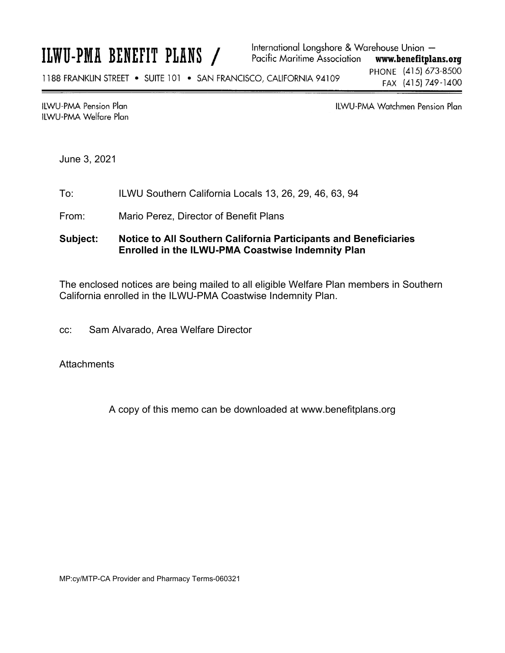**ILWU-PMA Pension Plan** ILWU-PMA Welfare Plan ILWU-PMA Watchmen Pension Plan

June 3, 2021

- To: ILWU Southern California Locals 13, 26, 29, 46, 63, 94
- From: Mario Perez, Director of Benefit Plans

#### **Subject: Notice to All Southern California Participants and Beneficiaries Enrolled in the ILWU-PMA Coastwise Indemnity Plan**

The enclosed notices are being mailed to all eligible Welfare Plan members in Southern California enrolled in the ILWU-PMA Coastwise Indemnity Plan.

cc: Sam Alvarado, Area Welfare Director

**Attachments** 

A copy of this memo can be downloaded at www.benefitplans.org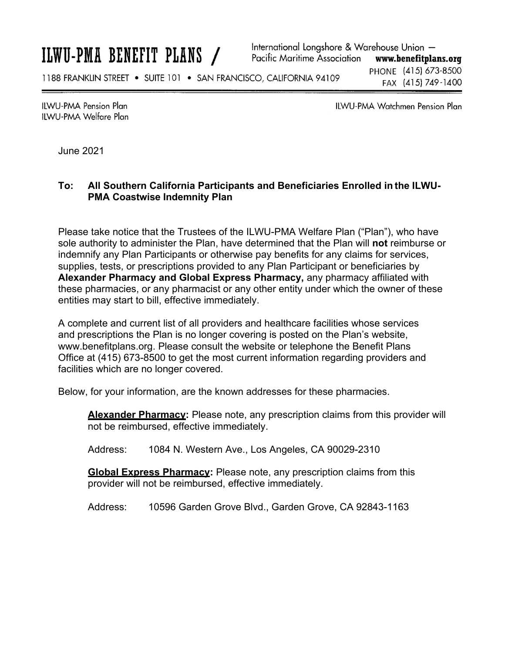International Longshore & Warehouse Union -Pacific Maritime Association www.benefitplans.org PHONE (415) 673-8500 1188 FRANKLIN STREET . SUITE 101 . SAN FRANCISCO, CALIFORNIA 94109 FAX (415) 749-1400

**ILWU-PMA Pension Plan IIWU-PMA Welfare Plan**  **ILWU-PMA Watchmen Pension Plan** 

June 2021

### **To: All Southern California Participants and Beneficiaries Enrolled in the ILWU-PMA Coastwise Indemnity Plan**

Please take notice that the Trustees of the ILWU-PMA Welfare Plan ("Plan"), who have sole authority to administer the Plan, have determined that the Plan will **not** reimburse or indemnify any Plan Participants or otherwise pay benefits for any claims for services, supplies, tests, or prescriptions provided to any Plan Participant or beneficiaries by **Alexander Pharmacy and Global Express Pharmacy,** any pharmacy affiliated with these pharmacies, or any pharmacist or any other entity under which the owner of these entities may start to bill, effective immediately.

A complete and current list of all providers and healthcare facilities whose services and prescriptions the Plan is no longer covering is posted on the Plan's website, www.benefitplans.org. Please consult the website or telephone the Benefit Plans Office at (415) 673-8500 to get the most current information regarding providers and facilities which are no longer covered.

Below, for your information, are the known addresses for these pharmacies.

**Alexander Pharmacy:** Please note, any prescription claims from this provider will not be reimbursed, effective immediately.

Address: 1084 N. Western Ave., Los Angeles, CA 90029-2310

**Global Express Pharmacy:** Please note, any prescription claims from this provider will not be reimbursed, effective immediately.

Address: 10596 Garden Grove Blvd., Garden Grove, CA 92843-1163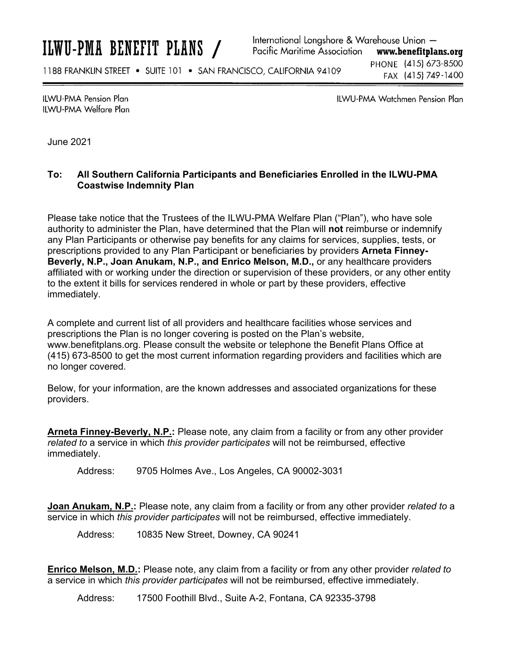International Longshore & Warehouse Union -Pacific Maritime Association www.benefitplans.org

1188 FRANKLIN STREET . SUITE 101 . SAN FRANCISCO, CALIFORNIA 94109

PHONE (415) 673-8500 FAX (415) 749-1400

**ILWU-PMA Pension Plan ILWU-PMA Welfare Plan**  **ILWU-PMA Watchmen Pension Plan** 

June 2021

#### **To: All Southern California Participants and Beneficiaries Enrolled in the ILWU-PMA Coastwise Indemnity Plan**

Please take notice that the Trustees of the ILWU-PMA Welfare Plan ("Plan"), who have sole authority to administer the Plan, have determined that the Plan will **not** reimburse or indemnify any Plan Participants or otherwise pay benefits for any claims for services, supplies, tests, or prescriptions provided to any Plan Participant or beneficiaries by providers **Arneta Finney-Beverly, N.P., Joan Anukam, N.P., and Enrico Melson, M.D.,** or any healthcare providers affiliated with or working under the direction or supervision of these providers, or any other entity to the extent it bills for services rendered in whole or part by these providers, effective immediately.

A complete and current list of all providers and healthcare facilities whose services and prescriptions the Plan is no longer covering is posted on the Plan's website, www.benefitplans.org. Please consult the website or telephone the Benefit Plans Office at (415) 673-8500 to get the most current information regarding providers and facilities which are no longer covered.

Below, for your information, are the known addresses and associated organizations for these providers.

**Arneta Finney-Beverly, N.P.:** Please note, any claim from a facility or from any other provider *related to* a service in which *this provider participates* will not be reimbursed, effective immediately.

Address: 9705 Holmes Ave., Los Angeles, CA 90002-3031

**Joan Anukam, N.P.:** Please note, any claim from a facility or from any other provider *related to* a service in which *this provider participates* will not be reimbursed, effective immediately.

Address: 10835 New Street, Downey, CA 90241

**Enrico Melson, M.D.:** Please note, any claim from a facility or from any other provider *related to* a service in which *this provider participates* will not be reimbursed, effective immediately.

Address: 17500 Foothill Blvd., Suite A-2, Fontana, CA 92335-3798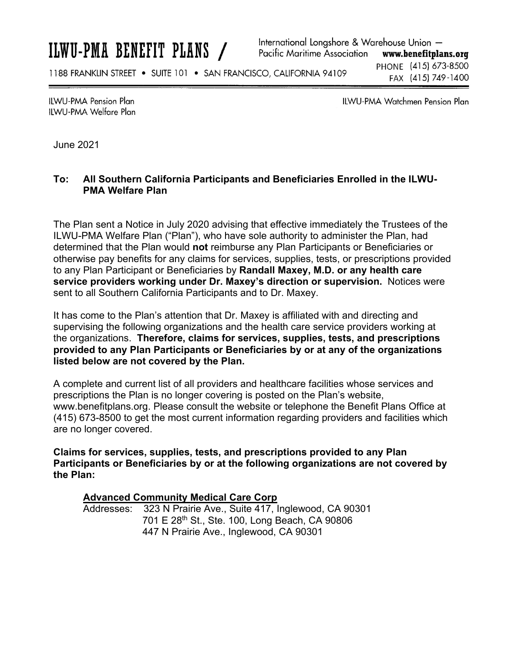International Longshore & Warehouse Union -Pacific Maritime Association www.benefitplans.org

1188 FRANKLIN STREET . SUITE 101 . SAN FRANCISCO, CALIFORNIA 94109

PHONE (415) 673-8500 FAX (415) 749-1400

**ILWU-PMA Pension Plan** IIWU-PMA Welfare Plan ILWU-PMA Watchmen Pension Plan

June 2021

### **To: All Southern California Participants and Beneficiaries Enrolled in the ILWU-PMA Welfare Plan**

The Plan sent a Notice in July 2020 advising that effective immediately the Trustees of the ILWU-PMA Welfare Plan ("Plan"), who have sole authority to administer the Plan, had determined that the Plan would **not** reimburse any Plan Participants or Beneficiaries or otherwise pay benefits for any claims for services, supplies, tests, or prescriptions provided to any Plan Participant or Beneficiaries by **Randall Maxey, M.D. or any health care service providers working under Dr. Maxey's direction or supervision.** Notices were sent to all Southern California Participants and to Dr. Maxey.

It has come to the Plan's attention that Dr. Maxey is affiliated with and directing and supervising the following organizations and the health care service providers working at the organizations. **Therefore, claims for services, supplies, tests, and prescriptions provided to any Plan Participants or Beneficiaries by or at any of the organizations listed below are not covered by the Plan.** 

A complete and current list of all providers and healthcare facilities whose services and prescriptions the Plan is no longer covering is posted on the Plan's website, www.benefitplans.org. Please consult the website or telephone the Benefit Plans Office at (415) 673-8500 to get the most current information regarding providers and facilities which are no longer covered.

**Claims for services, supplies, tests, and prescriptions provided to any Plan Participants or Beneficiaries by or at the following organizations are not covered by the Plan:** 

#### **Advanced Community Medical Care Corp**

Addresses: 323 N Prairie Ave., Suite 417, Inglewood, CA 90301 701 E 28th St., Ste. 100, Long Beach, CA 90806 447 N Prairie Ave., Inglewood, CA 90301